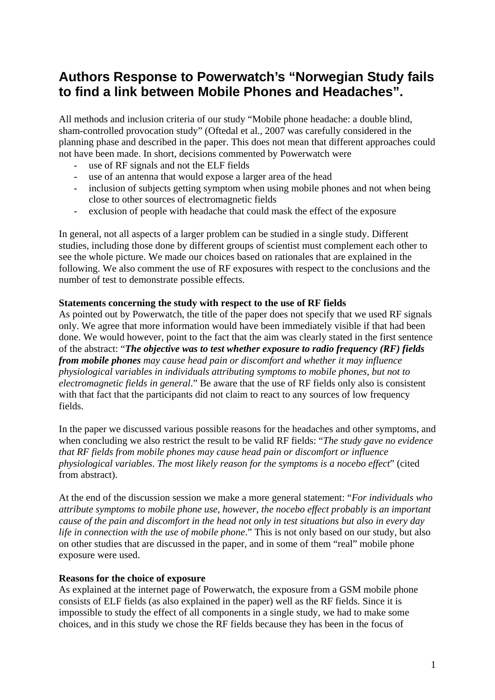# **Authors Response to Powerwatch's "Norwegian Study fails to find a link between Mobile Phones and Headaches".**

All methods and inclusion criteria of our study "Mobile phone headache: a double blind, sham-controlled provocation study" (Oftedal et al., 2007 was carefully considered in the planning phase and described in the paper. This does not mean that different approaches could not have been made. In short, decisions commented by Powerwatch were

- use of RF signals and not the ELF fields
- use of an antenna that would expose a larger area of the head
- inclusion of subjects getting symptom when using mobile phones and not when being close to other sources of electromagnetic fields
- exclusion of people with headache that could mask the effect of the exposure

In general, not all aspects of a larger problem can be studied in a single study. Different studies, including those done by different groups of scientist must complement each other to see the whole picture. We made our choices based on rationales that are explained in the following. We also comment the use of RF exposures with respect to the conclusions and the number of test to demonstrate possible effects.

#### **Statements concerning the study with respect to the use of RF fields**

As pointed out by Powerwatch, the title of the paper does not specify that we used RF signals only. We agree that more information would have been immediately visible if that had been done. We would however, point to the fact that the aim was clearly stated in the first sentence of the abstract: "*The objective was to test whether exposure to radio frequency (RF) fields from mobile phones may cause head pain or discomfort and whether it may influence physiological variables in individuals attributing symptoms to mobile phones, but not to electromagnetic fields in general*." Be aware that the use of RF fields only also is consistent with that fact that the participants did not claim to react to any sources of low frequency fields.

In the paper we discussed various possible reasons for the headaches and other symptoms, and when concluding we also restrict the result to be valid RF fields: "*The study gave no evidence that RF fields from mobile phones may cause head pain or discomfort or influence physiological variables*. *The most likely reason for the symptoms is a nocebo effect*" (cited from abstract).

At the end of the discussion session we make a more general statement: "*For individuals who attribute symptoms to mobile phone use, however, the nocebo effect probably is an important cause of the pain and discomfort in the head not only in test situations but also in every day life in connection with the use of mobile phone*." This is not only based on our study, but also on other studies that are discussed in the paper, and in some of them "real" mobile phone exposure were used.

#### **Reasons for the choice of exposure**

As explained at the internet page of Powerwatch, the exposure from a GSM mobile phone consists of ELF fields (as also explained in the paper) well as the RF fields. Since it is impossible to study the effect of all components in a single study, we had to make some choices, and in this study we chose the RF fields because they has been in the focus of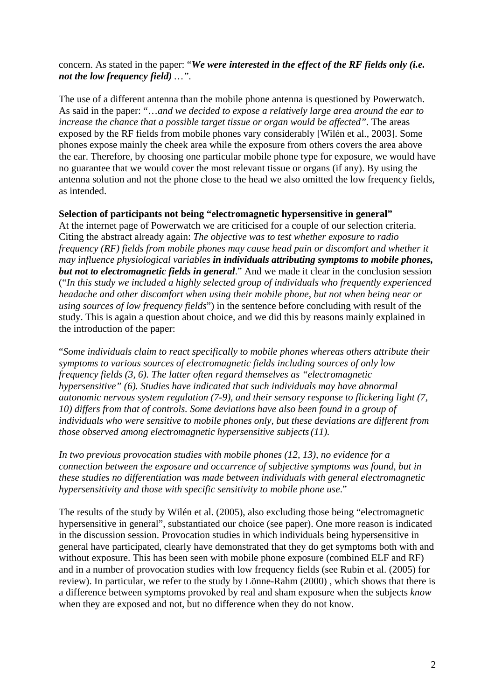## concern. As stated in the paper: "*We were interested in the effect of the RF fields only (i.e. not the low frequency field) …".*

The use of a different antenna than the mobile phone antenna is questioned by Powerwatch. As said in the paper: "…*and we decided to expose a relatively large area around the ear to increase the chance that a possible target tissue or organ would be affected*". The areas exposed by the RF fields from mobile phones vary considerably [Wilén et al., 2003]. Some phones expose mainly the cheek area while the exposure from others covers the area above the ear. Therefore, by choosing one particular mobile phone type for exposure, we would have no guarantee that we would cover the most relevant tissue or organs (if any). By using the antenna solution and not the phone close to the head we also omitted the low frequency fields, as intended.

## **Selection of participants not being "electromagnetic hypersensitive in general"**

At the internet page of Powerwatch we are criticised for a couple of our selection criteria. Citing the abstract already again: *The objective was to test whether exposure to radio frequency (RF) fields from mobile phones may cause head pain or discomfort and whether it may influence physiological variables in individuals attributing symptoms to mobile phones, but not to electromagnetic fields in general*." And we made it clear in the conclusion session ("*In this study we included a highly selected group of individuals who frequently experienced headache and other discomfort when using their mobile phone, but not when being near or using sources of low frequency fields*") in the sentence before concluding with result of the study. This is again a question about choice, and we did this by reasons mainly explained in the introduction of the paper:

"*Some individuals claim to react specifically to mobile phones whereas others attribute their symptoms to various sources of electromagnetic fields including sources of only low frequency fields (3, 6). The latter often regard themselves as "electromagnetic hypersensitive" (6). Studies have indicated that such individuals may have abnormal autonomic nervous system regulation (7-9), and their sensory response to flickering light (7, 10) differs from that of controls. Some deviations have also been found in a group of individuals who were sensitive to mobile phones only, but these deviations are different from those observed among electromagnetic hypersensitive subjects(11).* 

*In two previous provocation studies with mobile phones (12, 13), no evidence for a connection between the exposure and occurrence of subjective symptoms was found, but in these studies no differentiation was made between individuals with general electromagnetic hypersensitivity and those with specific sensitivity to mobile phone use*."

The results of the study by Wilén et al. (2005), also excluding those being "electromagnetic hypersensitive in general", substantiated our choice (see paper). One more reason is indicated in the discussion session. Provocation studies in which individuals being hypersensitive in general have participated, clearly have demonstrated that they do get symptoms both with and without exposure. This has been seen with mobile phone exposure (combined ELF and RF) and in a number of provocation studies with low frequency fields (see Rubin et al. (2005) for review). In particular, we refer to the study by Lönne-Rahm (2000) , which shows that there is a difference between symptoms provoked by real and sham exposure when the subjects *know* when they are exposed and not, but no difference when they do not know.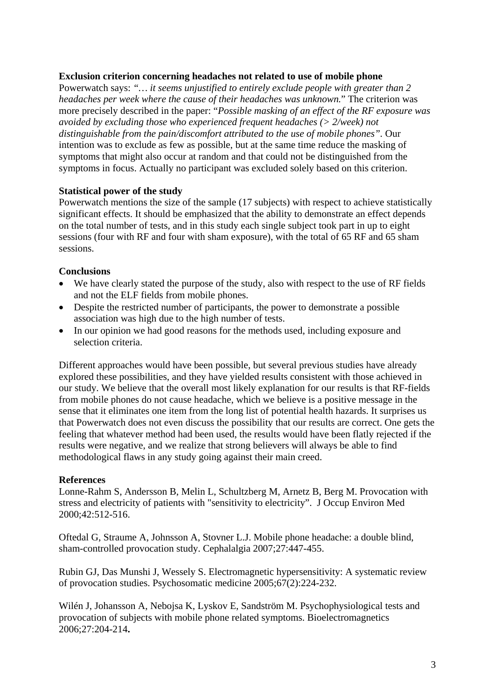## **Exclusion criterion concerning headaches not related to use of mobile phone**

Powerwatch says: *"… it seems unjustified to entirely exclude people with greater than 2 headaches per week where the cause of their headaches was unknown.*" The criterion was more precisely described in the paper: "*Possible masking of an effect of the RF exposure was avoided by excluding those who experienced frequent headaches (> 2/week) not distinguishable from the pain/discomfort attributed to the use of mobile phones".* Our intention was to exclude as few as possible, but at the same time reduce the masking of symptoms that might also occur at random and that could not be distinguished from the symptoms in focus. Actually no participant was excluded solely based on this criterion.

## **Statistical power of the study**

Powerwatch mentions the size of the sample (17 subjects) with respect to achieve statistically significant effects. It should be emphasized that the ability to demonstrate an effect depends on the total number of tests, and in this study each single subject took part in up to eight sessions (four with RF and four with sham exposure), with the total of 65 RF and 65 sham sessions.

# **Conclusions**

- We have clearly stated the purpose of the study, also with respect to the use of RF fields and not the ELF fields from mobile phones.
- Despite the restricted number of participants, the power to demonstrate a possible association was high due to the high number of tests.
- In our opinion we had good reasons for the methods used, including exposure and selection criteria.

Different approaches would have been possible, but several previous studies have already explored these possibilities, and they have yielded results consistent with those achieved in our study. We believe that the overall most likely explanation for our results is that RF-fields from mobile phones do not cause headache, which we believe is a positive message in the sense that it eliminates one item from the long list of potential health hazards. It surprises us that Powerwatch does not even discuss the possibility that our results are correct. One gets the feeling that whatever method had been used, the results would have been flatly rejected if the results were negative, and we realize that strong believers will always be able to find methodological flaws in any study going against their main creed.

# **References**

Lonne-Rahm S, Andersson B, Melin L, Schultzberg M, Arnetz B, Berg M. Provocation with stress and electricity of patients with "sensitivity to electricity". J Occup Environ Med 2000;42:512-516.

Oftedal G, Straume A, Johnsson A, Stovner L.J. Mobile phone headache: a double blind, sham-controlled provocation study. Cephalalgia 2007;27:447-455.

Rubin GJ, Das Munshi J, Wessely S. Electromagnetic hypersensitivity: A systematic review of provocation studies. Psychosomatic medicine 2005;67(2):224-232.

Wilén J, Johansson A, Nebojsa K, Lyskov E, Sandström M. Psychophysiological tests and provocation of subjects with mobile phone related symptoms. Bioelectromagnetics 2006;27:204-214**.**